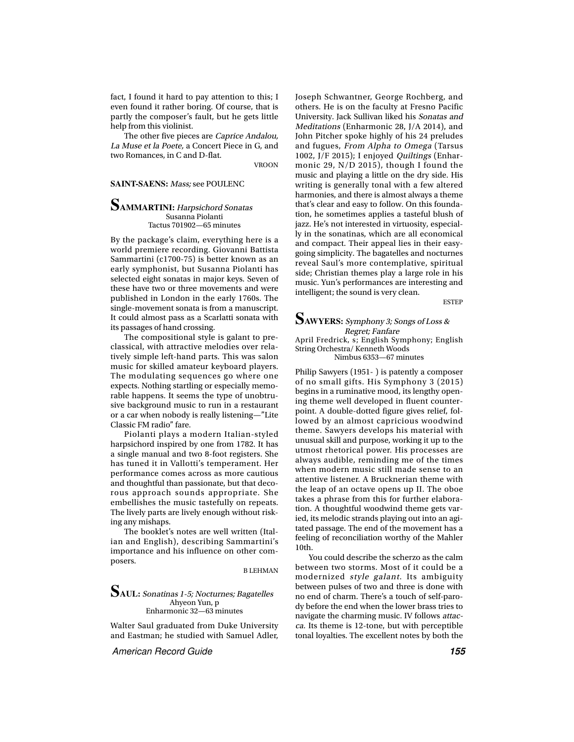fact, I found it hard to pay attention to this; I even found it rather boring. Of course, that is partly the composer's fault, but he gets little help from this violinist.

The other five pieces are Caprice Andalou, La Muse et la Poete, a Concert Piece in G, and two Romances, in C and D-flat.

VROON

#### **SAINT-SAENS:** Mass; see POULENC

### **SAMMARTINI:** Harpsichord Sonatas Susanna Piolanti Tactus 701902—65 minutes

By the package's claim, everything here is a world premiere recording. Giovanni Battista Sammartini (c1700-75) is better known as an early symphonist, but Susanna Piolanti has selected eight sonatas in major keys. Seven of these have two or three movements and were published in London in the early 1760s. The single-movement sonata is from a manuscript. It could almost pass as a Scarlatti sonata with its passages of hand crossing.

The compositional style is galant to preclassical, with attractive melodies over relatively simple left-hand parts. This was salon music for skilled amateur keyboard players. The modulating sequences go where one expects. Nothing startling or especially memorable happens. It seems the type of unobtrusive background music to run in a restaurant or a car when nobody is really listening—"Lite Classic FM radio" fare.

Piolanti plays a modern Italian-styled harpsichord inspired by one from 1782. It has a single manual and two 8-foot registers. She has tuned it in Vallotti's temperament. Her performance comes across as more cautious and thoughtful than passionate, but that decorous approach sounds appropriate. She embellishes the music tastefully on repeats. The lively parts are lively enough without risking any mishaps.

The booklet's notes are well written (Italian and English), describing Sammartini's importance and his influence on other composers.

B LEHMAN

### **SAUL:** Sonatinas 1-5; Nocturnes; Bagatelles Ahyeon Yun, p Enharmonic 32—63 minutes

Walter Saul graduated from Duke University and Eastman; he studied with Samuel Adler,

American Record Guide **155**

Joseph Schwantner, George Rochberg, and others. He is on the faculty at Fresno Pacific University. Jack Sullivan liked his Sonatas and Meditations (Enharmonic 28, J/A 2014), and John Pitcher spoke highly of his 24 preludes and fugues, From Alpha to Omega (Tarsus 1002, J/F 2015); I enjoyed Quiltings (Enharmonic 29, N/D 2015), though I found the music and playing a little on the dry side. His writing is generally tonal with a few altered harmonies, and there is almost always a theme that's clear and easy to follow. On this foundation, he sometimes applies a tasteful blush of jazz. He's not interested in virtuosity, especially in the sonatinas, which are all economical and compact. Their appeal lies in their easygoing simplicity. The bagatelles and nocturnes reveal Saul's more contemplative, spiritual side; Christian themes play a large role in his music. Yun's performances are interesting and intelligent; the sound is very clean.

ESTEP

# **SAWYERS:** Symphony 3; Songs of Loss & Regret; Fanfare April Fredrick, s; English Symphony; English

String Orchestra/ Kenneth Woods Nimbus 6353—67 minutes

Philip Sawyers (1951- ) is patently a composer of no small gifts. His Symphony 3 (2015) begins in a ruminative mood, its lengthy opening theme well developed in fluent counterpoint. A double-dotted figure gives relief, followed by an almost capricious woodwind theme. Sawyers develops his material with unusual skill and purpose, working it up to the utmost rhetorical power. His processes are always audible, reminding me of the times when modern music still made sense to an attentive listener. A Brucknerian theme with the leap of an octave opens up II. The oboe takes a phrase from this for further elaboration. A thoughtful woodwind theme gets varied, its melodic strands playing out into an agitated passage. The end of the movement has a feeling of reconciliation worthy of the Mahler 10th.

You could describe the scherzo as the calm between two storms. Most of it could be a modernized style galant. Its ambiguity between pulses of two and three is done with no end of charm. There's a touch of self-parody before the end when the lower brass tries to navigate the charming music. IV follows attacca. Its theme is 12-tone, but with perceptible tonal loyalties. The excellent notes by both the